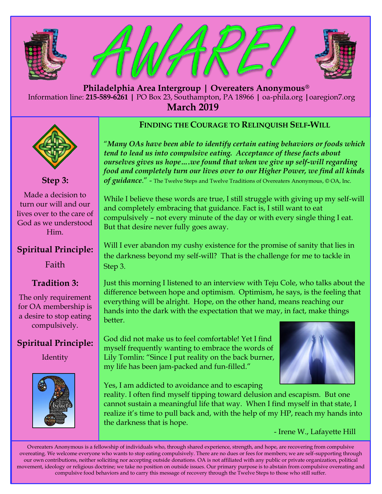



 **Philadelphia Area Intergroup | Overeaters Anonymous®** Information line: **215-589-6261 |** PO Box 23, Southampton, PA 18966 **|** oa-phila.org **|**oaregion7.org **March 2019**



# **Step 3:**

Made a decision to turn our will and our lives over to the care of God as we understood Him.

# **Spiritual Principle:**

Faith

## **Tradition 3:**

The only requirement for OA membership is a desire to stop eating compulsively.

# **Spiritual Principle:**

Identity



### **FINDING THE COURAGE TO RELINQUISH SELF-WILL**

"*Many OAs have been able to identify certain eating behaviors or foods which tend to lead us into compulsive eating. Acceptance of these facts about ourselves gives us hope….we found that when we give up self-will regarding food and completely turn our lives over to our Higher Power, we find all kinds of guidance*." - The Twelve Steps and Twelve Traditions of Overeaters Anonymous, © OA, Inc.

While I believe these words are true, I still struggle with giving up my self-will and completely embracing that guidance. Fact is, I still want to eat compulsively – not every minute of the day or with every single thing I eat. But that desire never fully goes away.

Will I ever abandon my cushy existence for the promise of sanity that lies in the darkness beyond my self-will? That is the challenge for me to tackle in Step 3.

Just this morning I listened to an interview with Teju Cole, who talks about the difference between hope and optimism. Optimism, he says, is the feeling that everything will be alright. Hope, on the other hand, means reaching our hands into the dark with the expectation that we may, in fact, make things better.

God did not make us to feel comfortable! Yet I find myself frequently wanting to embrace the words of Lily Tomlin: "Since I put reality on the back burner, my life has been jam-packed and fun-filled."



Yes, I am addicted to avoidance and to escaping reality. I often find myself tipping toward delusion and escapism. But one cannot sustain a meaningful life that way. When I find myself in that state, I realize it's time to pull back and, with the help of my HP, reach my hands into the darkness that is hope.

- Irene W., Lafayette Hill

Overeaters Anonymous is a fellowship of individuals who, through shared experience, strength, and hope, are recovering from compulsive overeating. We welcome everyone who wants to stop eating compulsively. There are no dues or fees for members; we are self-supporting through our own contributions, neither soliciting nor accepting outside donations. OA is not affiliated with any public or private organization, political movement, ideology or religious doctrine; we take no position on outside issues. Our primary purpose is to abstain from compulsive overeating and compulsive food behaviors and to carry this message of recovery through the Twelve Steps to those who still suffer.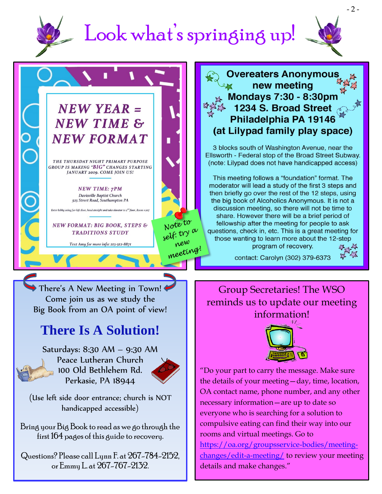# Look what's springing up!



There's A New Meeting in Town! Come join us as we study the Big Book from an OA point of view!

# **There Is A Solution!**

Saturdays: 8:30 AM – 9:30 AM Peace Lutheran Church 100 Old Bethlehem Rd. Perkasie, PA 18944



(Use left side door entrance; church is NOT handicapped accessible)

Bring your Big Book to read as we go through the first 164 pages of this guide to recovery.

Questions? Please call Lynn F. at 267-784-2152, or Emmy L. at 267-767-2132.

**Overeaters Anonymous** new meeting **Mondays 7:30 - 8:30pm** 1234 S. Broad Street Philadelphia PA 19146 (at Lilypad family play space)

3 blocks south of Washington Avenue, near the Ellsworth - Federal stop of the Broad Street Subway. (note: Lilypad does not have handicapped access)

This meeting follows a "foundation" format. The moderator will lead a study of the first 3 steps and then briefly go over the rest of the 12 steps, using the big book of Alcoholics Anonymous. It is not a discussion meeting, so there will not be time to share. However there will be a brief period of fellowship after the meeting for people to ask questions, check in, etc. This is a great meeting for those wanting to learn more about the 12-step program of recovery.

contact: Carolyn (302) 379-6373

Group Secretaries! The WSO reminds us to update our meeting information!



"Do your part to carry the message. Make sure the details of your meeting—day, time, location, OA contact name, phone number, and any other necessary information—are up to date so everyone who is searching for a solution to compulsive eating can find their way into our rooms and virtual meetings. Go to [https://oa.org/groupsservice-bodies/meeting](https://oa.org/groupsservice-bodies/meeting-changes/edit-a-meeting/)[changes/edit-a-meeting/](https://oa.org/groupsservice-bodies/meeting-changes/edit-a-meeting/) to review your meeting details and make changes."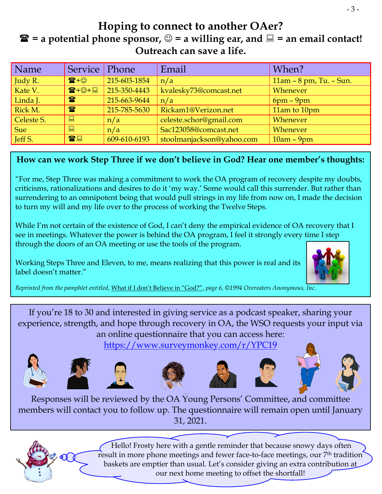# **Hoping to connect to another OAer?**   $\mathbf{\hat{z}}$  = a potential phone sponsor,  $\odot$  = a willing ear, and  $\mathbf{\Xi}$  = an email contact! **Outreach can save a life.**

| Name       | Service   Phone                 |              | Email                     | When?                   |
|------------|---------------------------------|--------------|---------------------------|-------------------------|
| Judy R.    | $\mathbf{E} + \odot$            | 215-603-1854 | n/a                       | 11am - 8 pm, Tu. - Sun. |
| Kate V.    | $\mathbf{E} + \oplus + \square$ | 215-350-4443 | kvalesky73@comcast.net    | Whenever                |
| Linda J.   | $\mathbf{r}$                    | 215-663-9644 | n/a                       | $6pm - 9pm$             |
| Rick M.    | $\mathbf{r}$                    | 215-785-5630 | Rickam1@Verizon.net       | 11am to 10pm            |
| Celeste S. | 口                               | n/a          | celeste.schor@gmail.com   | Whenever                |
| <b>Sue</b> | 鳳                               | n/a          | Sac123058@comcast.net     | Whenever                |
| Jeff S.    | 雷口                              | 609-610-6193 | stoolmanjackson@yahoo.com | $10am - 9pm$            |

### **How can we work Step Three if we don't believe in God? Hear one member's thoughts:**

"For me, Step Three was making a commitment to work the OA program of recovery despite my doubts, criticisms, rationalizations and desires to do it 'my way.' Some would call this surrender. But rather than surrendering to an omnipotent being that would pull strings in my life from now on, I made the decision to turn my will and my life over to the process of working the Twelve Steps.

While I'm not certain of the existence of God, I can't deny the empirical evidence of OA recovery that I see in meetings. Whatever the power is behind the OA program, I feel it strongly every time I step through the doors of an OA meeting or use the tools of the program.

Working Steps Three and Eleven, to me, means realizing that this power is real and its label doesn't matter."



*Reprinted from the pamphlet entitled*, What if I don't Believe in "God?", *page 6, ©1994 Overeaters Anonymous, Inc.*

If you're 18 to 30 and interested in giving service as a podcast speaker, sharing your experience, strength, and hope through recovery in OA, the WSO requests your input via an online questionnaire that you can access here:

<https://www.surveymonkey.com/r/YPC19>

















Responses will be reviewed by the OA Young Persons' Committee, and committee members will contact you to follow up. The questionnaire will remain open until January 31, 2021.



Hello! Frosty here with a gentle reminder that because snowy days often result in more phone meetings and fewer face-to-face meetings, our 7<sup>th</sup> tradition baskets are emptier than usual. Let's consider giving an extra contribution at our next home meeting to offset the shortfall!